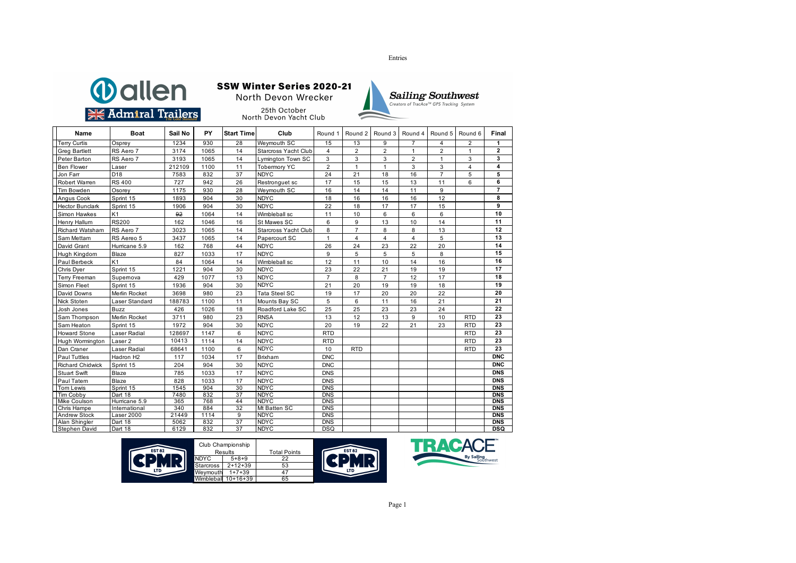





Results